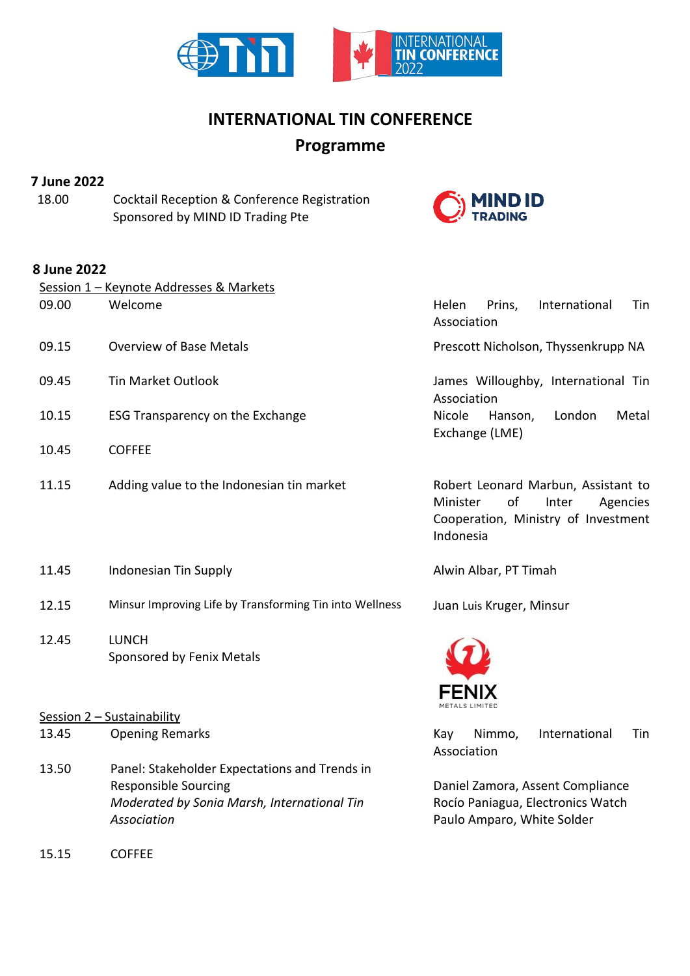

## **INTERNATIONAL TIN CONFERENCE**

## **Programme**

## **7 June 2022**

 18.00 Cocktail Reception & Conference Registration Sponsored by MIND ID Trading Pte



## **8 June 2022**

| Session 1 - Keynote Addresses & Markets |                                                         |                                                                                                                                |  |
|-----------------------------------------|---------------------------------------------------------|--------------------------------------------------------------------------------------------------------------------------------|--|
| 09.00                                   | Welcome                                                 | Helen<br>International<br>Tin<br>Prins,<br>Association                                                                         |  |
| 09.15                                   | <b>Overview of Base Metals</b>                          | Prescott Nicholson, Thyssenkrupp NA                                                                                            |  |
| 09.45                                   | <b>Tin Market Outlook</b>                               | James Willoughby, International Tin<br>Association                                                                             |  |
| 10.15                                   | <b>ESG Transparency on the Exchange</b>                 | Nicole<br>Metal<br>London<br>Hanson,<br>Exchange (LME)                                                                         |  |
| 10.45                                   | <b>COFFEE</b>                                           |                                                                                                                                |  |
| 11.15                                   | Adding value to the Indonesian tin market               | Robert Leonard Marbun, Assistant to<br>of<br>Inter<br>Minister<br>Agencies<br>Cooperation, Ministry of Investment<br>Indonesia |  |
| 11.45                                   | Indonesian Tin Supply                                   | Alwin Albar, PT Timah                                                                                                          |  |
| 12.15                                   | Minsur Improving Life by Transforming Tin into Wellness | Juan Luis Kruger, Minsur                                                                                                       |  |
| 12.45                                   | <b>LUNCH</b><br>Sponsored by Fenix Metals               |                                                                                                                                |  |
| Session 2 - Sustainability              |                                                         |                                                                                                                                |  |
| 13.45                                   | <b>Opening Remarks</b>                                  | International<br>Nimmo,<br>Tin<br>Kay<br>Association                                                                           |  |
| 13.50                                   | Panel: Stakeholder Expectations and Trends in           |                                                                                                                                |  |

Daniel Zamora, Assent Compliance Rocío Paniagua, Electronics Watch Paulo Amparo, White Solder

15.15 COFFEE

Responsible Sourcing

*Association*

*Moderated by Sonia Marsh, International Tin*